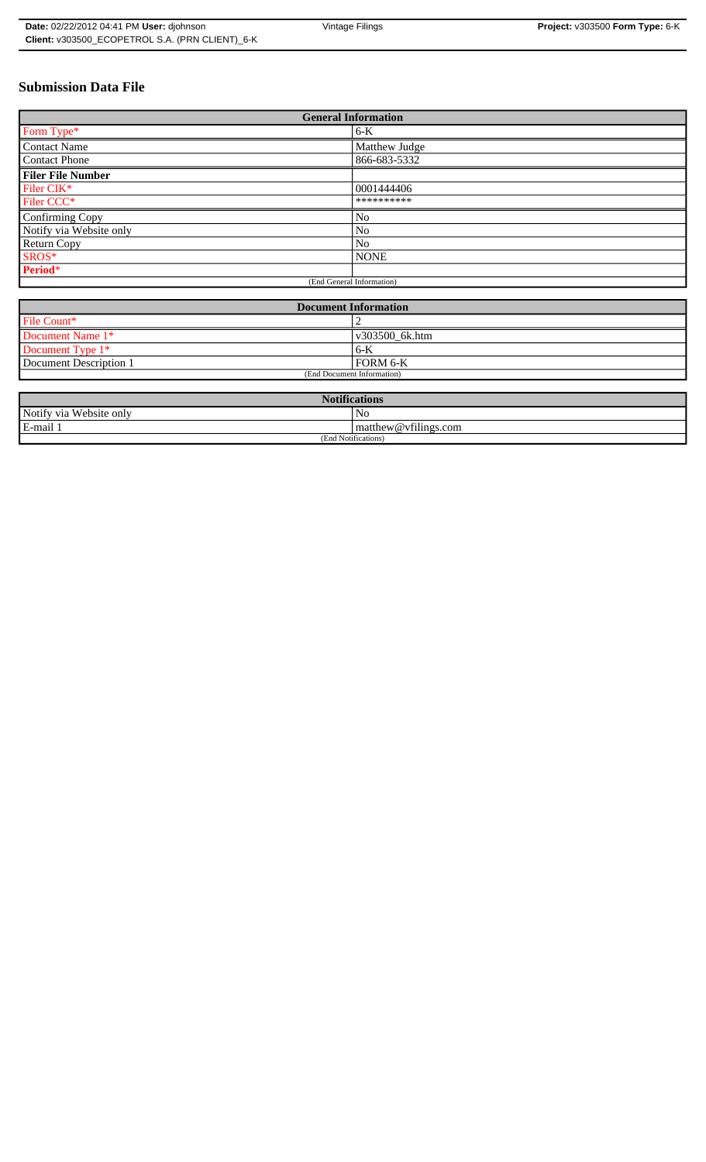# **Submission Data File**

| <b>General Information</b> |                |
|----------------------------|----------------|
| Form Type*                 | $6-K$          |
| <b>Contact Name</b>        | Matthew Judge  |
| <b>Contact Phone</b>       | 866-683-5332   |
| <b>Filer File Number</b>   |                |
| Filer CIK*                 | 0001444406     |
| Filer CCC*                 | **********     |
| Confirming Copy            | No             |
| Notify via Website only    | No             |
| Return Copy                | N <sub>0</sub> |
| SROS*                      | <b>NONE</b>    |
| Period*                    |                |
| (End General Information)  |                |

| <b>Document Information</b> |                |
|-----------------------------|----------------|
| File Count*                 |                |
| Document Name 1*            | v303500_6k.htm |
| Document Type 1*            | 16-K           |
| Document Description 1      | FORM 6-K       |
| (End Document Information)  |                |

| <b>Notifications</b>    |                                   |  |
|-------------------------|-----------------------------------|--|
| Notify via Website only | No                                |  |
| E-mail 1                | $\sim$ 1.<br>matthew@vfilings.com |  |
| (End Notifications)     |                                   |  |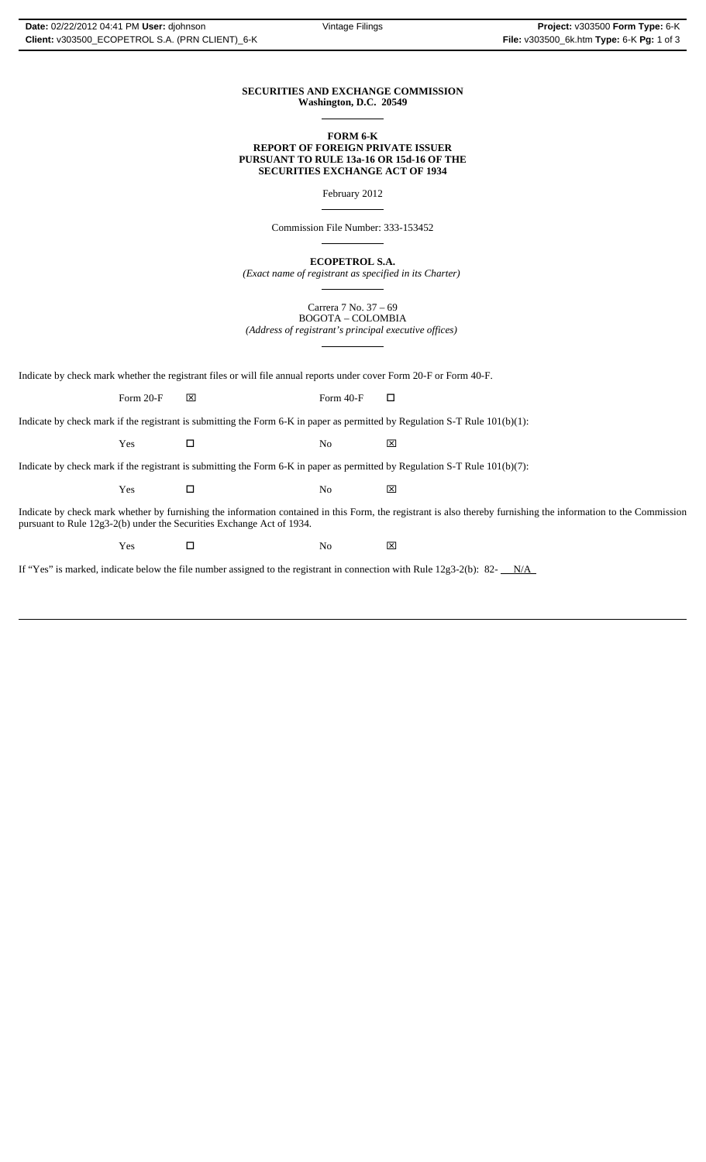## **SECURITIES AND EXCHANGE COMMISSION Washington, D.C. 20549**

 $\overline{a}$ 

 $\overline{a}$ 

 $\overline{a}$ 

#### **FORM 6-K REPORT OF FOREIGN PRIVATE ISSUER PURSUANT TO RULE 13a-16 OR 15d-16 OF THE SECURITIES EXCHANGE ACT OF 1934**

February 2012

Commission File Number: 333-153452

**ECOPETROL S.A.**

*(Exact name of registrant as specified in its Charter)*  $\overline{a}$ 

Carrera 7 No. 37 – 69 BOGOTA – COLOMBIA *(Address of registrant's principal executive offices)*  $\overline{a}$ 

Indicate by check mark whether the registrant files or will file annual reports under cover Form 20-F or Form 40-F.

Form 20-F  $\boxtimes$  Form 40-F  $\Box$ 

Indicate by check mark if the registrant is submitting the Form 6-K in paper as permitted by Regulation S-T Rule 101(b)(1):

 $Yes$   $\Box$  No  $\boxtimes$ 

Indicate by check mark if the registrant is submitting the Form 6-K in paper as permitted by Regulation S-T Rule 101(b)(7):

 $Yes$   $\square$  No  $\boxtimes$ 

Indicate by check mark whether by furnishing the information contained in this Form, the registrant is also thereby furnishing the information to the Commission pursuant to Rule 12g3-2(b) under the Securities Exchange Act of 1934.

 $Yes$   $\square$  No  $\boxtimes$ 

If "Yes" is marked, indicate below the file number assigned to the registrant in connection with Rule 12g3-2(b): 82- $N/A$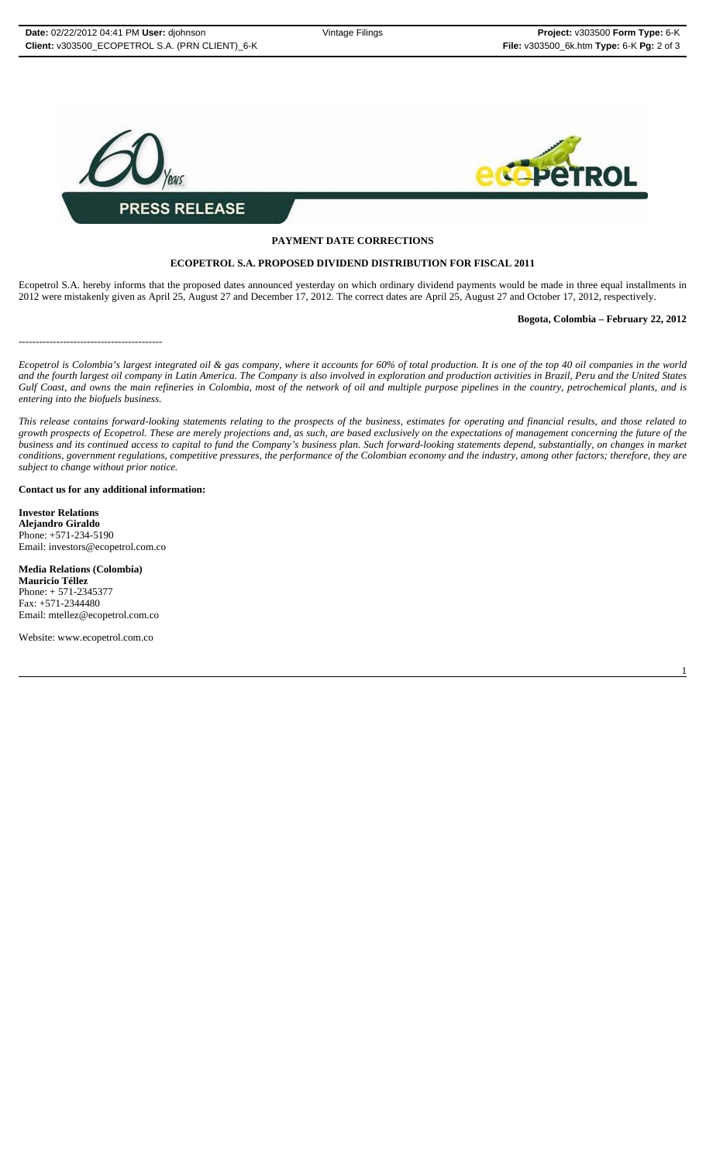

# **PAYMENT DATE CORRECTIONS**

## **ECOPETROL S.A. PROPOSED DIVIDEND DISTRIBUTION FOR FISCAL 2011**

Ecopetrol S.A. hereby informs that the proposed dates announced yesterday on which ordinary dividend payments would be made in three equal installments in 2012 were mistakenly given as April 25, August 27 and December 17, 2012. The correct dates are April 25, August 27 and October 17, 2012, respectively.

## **Bogota, Colombia – February 22, 2012**

------------------------------------------

*Ecopetrol is Colombia's largest integrated oil & gas company, where it accounts for 60% of total production. It is one of the top 40 oil companies in the world and the fourth largest oil company in Latin America. The Company is also involved in exploration and production activities in Brazil, Peru and the United States Gulf Coast, and owns the main refineries in Colombia, most of the network of oil and multiple purpose pipelines in the country, petrochemical plants, and is entering into the biofuels business.*

*This release contains forward-looking statements relating to the prospects of the business, estimates for operating and financial results, and those related to growth prospects of Ecopetrol. These are merely projections and, as such, are based exclusively on the expectations of management concerning the future of the business and its continued access to capital to fund the Company's business plan. Such forward-looking statements depend, substantially, on changes in market conditions, government regulations, competitive pressures, the performance of the Colombian economy and the industry, among other factors; therefore, they are subject to change without prior notice.*

## **Contact us for any additional information:**

**Investor Relations Alejandro Giraldo** Phone: +571-234-5190 Email: investors@ecopetrol.com.co

**Media Relations (Colombia) Mauricio Téllez** Phone: + 571-2345377 Fax: +571-2344480 Email: mtellez@ecopetrol.com.co

Website: www.ecopetrol.com.co

1